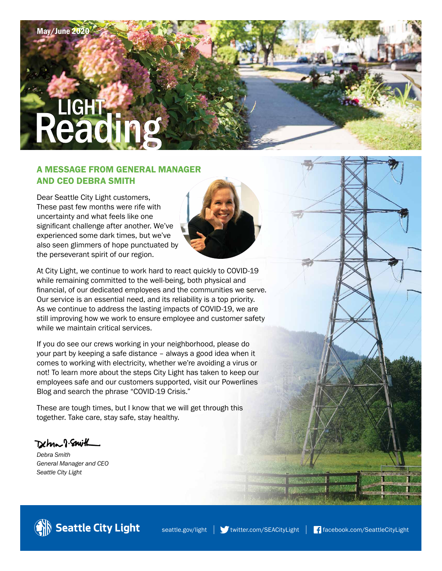# **LIGHT**

# A MESSAGE FROM GENERAL MANAGER AND CEO DEBRA SMITH

Dear Seattle City Light customers, These past few months were rife with uncertainty and what feels like one significant challenge after another. We've experienced some dark times, but we've also seen glimmers of hope punctuated by the perseverant spirit of our region.



At City Light, we continue to work hard to react quickly to COVID-19 while remaining committed to the well-being, both physical and financial, of our dedicated employees and the communities we serve. Our service is an essential need, and its reliability is a top priority. As we continue to address the lasting impacts of COVID-19, we are still improving how we work to ensure employee and customer safety while we maintain critical services.

If you do see our crews working in your neighborhood, please do your part by keeping a safe distance – always a good idea when it comes to working with electricity, whether we're avoiding a virus or not! To learn more about the steps City Light has taken to keep our employees safe and our customers supported, visit our Powerlines Blog and search the phrase "COVID-19 Crisis."

These are tough times, but I know that we will get through this together. Take care, stay safe, stay healthy.

Detma 8. Smith

*Debra Smith General Manager and CEO Seattle City Light*